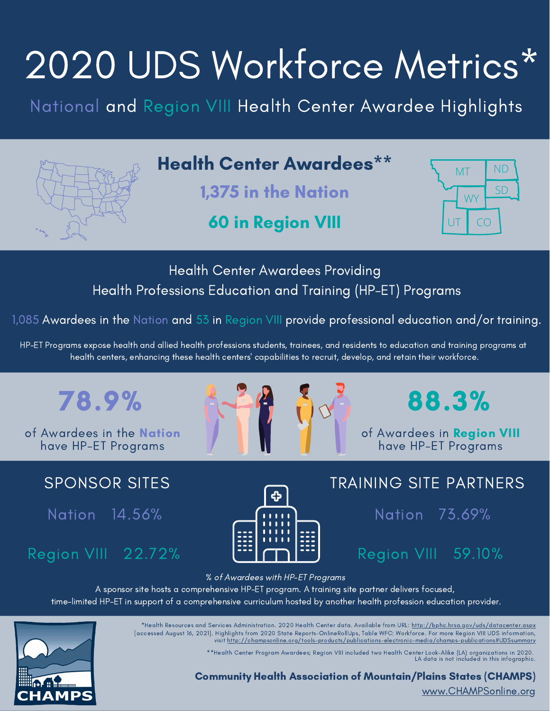# 2020 UDS Workforce Metrics\*

National and Region VIII Health Center Awardee Highlights



Health Center Awardees Providing Health Professions Education and Training (HP-ET) Programs

1,085 Awardees in the Nation and 53 in Region VIII provide professional education and/or training.

HP-ET Programs expose health and allied health professions students, trainees, and residents to education and training programs at health centers, enhancing these health centers' capabilities to recruit, develop, and retain their workforce.



of Awardees in the Nation have HP-ET Programs

SPONSOR SITES

Nation 14.56%

Region VIII 22.72%





of Awardees in Region VIII have HP-ET Programs



## TRAINING SITE PARTNERS

Nation 73.69%

Region VIII 59.10%

% of Awardees with HP-ET Programs

A sponsor site hosts a comprehensive HP-ET program. A training site partner delivers focused,

time-limited HP-ET in support of a comprehensive curriculum hosted by another health profession education provider.

\*Health Resources and Services Administration. 2020 Health Center data. Available from URL: [http://bphc.hrsa.gov/uds/datacenter.aspx](https://data.hrsa.gov/tools/data-reporting/program-data/national) [accessed August 16, 2021]. Highlights from 2020 State Reports-OnlineRollUps, Table WFC: Workforce. For more Region VIII UDS information, visit http://champsonline.org/tools-products/publications-electronic-media/champs-publications#UDSsummary

\*\*Health Center Program Awardees; Region VIII included two Health Center Look-Alike (LA) organizations in 2020. LA data is not included in this infographic.

Community Health Association of Mountain/Plains States (CHAMPS)

[www.CHAMPSonline.org](http://www.champsonline.org/)